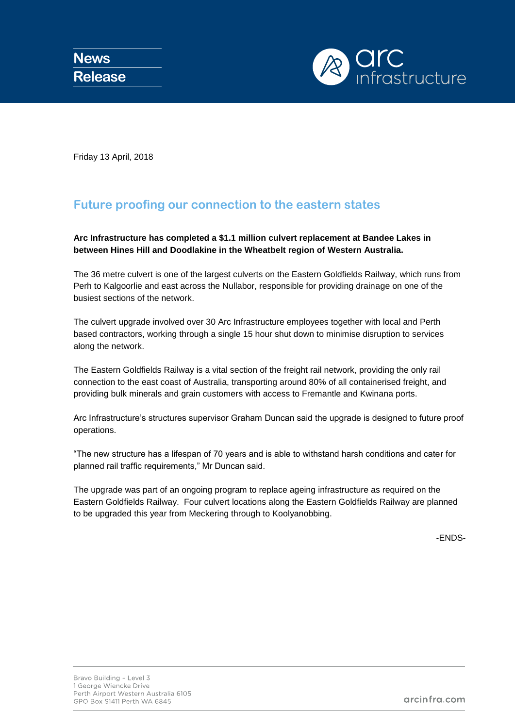

Friday 13 April, 2018

## **Future proofing our connection to the eastern states**

**Arc Infrastructure has completed a \$1.1 million culvert replacement at Bandee Lakes in between Hines Hill and Doodlakine in the Wheatbelt region of Western Australia.**

The 36 metre culvert is one of the largest culverts on the Eastern Goldfields Railway, which runs from Perh to Kalgoorlie and east across the Nullabor, responsible for providing drainage on one of the busiest sections of the network.

The culvert upgrade involved over 30 Arc Infrastructure employees together with local and Perth based contractors, working through a single 15 hour shut down to minimise disruption to services along the network.

The Eastern Goldfields Railway is a vital section of the freight rail network, providing the only rail connection to the east coast of Australia, transporting around 80% of all containerised freight, and providing bulk minerals and grain customers with access to Fremantle and Kwinana ports.

Arc Infrastructure's structures supervisor Graham Duncan said the upgrade is designed to future proof operations.

"The new structure has a lifespan of 70 years and is able to withstand harsh conditions and cater for planned rail traffic requirements," Mr Duncan said.

The upgrade was part of an ongoing program to replace ageing infrastructure as required on the Eastern Goldfields Railway. Four culvert locations along the Eastern Goldfields Railway are planned to be upgraded this year from Meckering through to Koolyanobbing.

-ENDS-